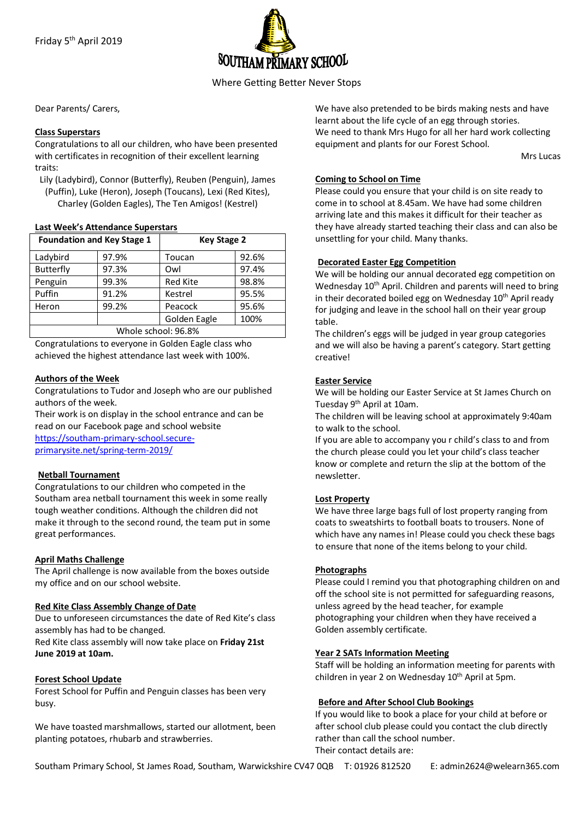

Where Getting Better Never Stops

Dear Parents/ Carers,

## **Class Superstars**

Congratulations to all our children, who have been presented with certificates in recognition of their excellent learning traits:

Lily (Ladybird), Connor (Butterfly), Reuben (Penguin), James (Puffin), Luke (Heron), Joseph (Toucans), Lexi (Red Kites), Charley (Golden Eagles), The Ten Amigos! (Kestrel)

### **Last Week's Attendance Superstars**

| <b>Foundation and Key Stage 1</b> |       | <b>Key Stage 2</b> |       |
|-----------------------------------|-------|--------------------|-------|
| Ladybird                          | 97.9% | Toucan             | 92.6% |
| <b>Butterfly</b>                  | 97.3% | Owl                | 97.4% |
| Penguin                           | 99.3% | <b>Red Kite</b>    | 98.8% |
| Puffin                            | 91.2% | Kestrel            | 95.5% |
| Heron                             | 99.2% | Peacock            | 95.6% |
|                                   |       | Golden Eagle       | 100%  |
| Whole school: 96.8%               |       |                    |       |

Congratulations to everyone in Golden Eagle class who achieved the highest attendance last week with 100%.

## **Authors of the Week**

Congratulations to Tudor and Joseph who are our published authors of the week.

Their work is on display in the school entrance and can be read on our Facebook page and school website https://southam-primary-school.secureprimarysite.net/spring-term-2019/

## **Netball Tournament**

Congratulations to our children who competed in the Southam area netball tournament this week in some really tough weather conditions. Although the children did not make it through to the second round, the team put in some great performances.

## **April Maths Challenge**

The April challenge is now available from the boxes outside my office and on our school website.

### **Red Kite Class Assembly Change of Date**

Due to unforeseen circumstances the date of Red Kite's class assembly has had to be changed.

Red Kite class assembly will now take place on **Friday 21st June 2019 at 10am.**

## **Forest School Update**

Forest School for Puffin and Penguin classes has been very busy.

We have toasted marshmallows, started our allotment, been planting potatoes, rhubarb and strawberries.

We have also pretended to be birds making nests and have learnt about the life cycle of an egg through stories. We need to thank Mrs Hugo for all her hard work collecting equipment and plants for our Forest School.

Mrs Lucas

### **Coming to School on Time**

Please could you ensure that your child is on site ready to come in to school at 8.45am. We have had some children arriving late and this makes it difficult for their teacher as they have already started teaching their class and can also be unsettling for your child. Many thanks.

## **Decorated Easter Egg Competition**

We will be holding our annual decorated egg competition on Wednesday 10<sup>th</sup> April. Children and parents will need to bring in their decorated boiled egg on Wednesday 10<sup>th</sup> April ready for judging and leave in the school hall on their year group table.

The children's eggs will be judged in year group categories and we will also be having a parent's category. Start getting creative!

## **Easter Service**

We will be holding our Easter Service at St James Church on Tuesday 9<sup>th</sup> April at 10am.

The children will be leaving school at approximately 9:40am to walk to the school.

If you are able to accompany you r child's class to and from the church please could you let your child's class teacher know or complete and return the slip at the bottom of the newsletter.

## **Lost Property**

We have three large bags full of lost property ranging from coats to sweatshirts to football boats to trousers. None of which have any names in! Please could you check these bags to ensure that none of the items belong to your child.

## **Photographs**

Please could I remind you that photographing children on and off the school site is not permitted for safeguarding reasons, unless agreed by the head teacher, for example photographing your children when they have received a Golden assembly certificate.

## **Year 2 SATs Information Meeting**

Staff will be holding an information meeting for parents with children in year 2 on Wednesday  $10<sup>th</sup>$  April at 5pm.

## **Before and After School Club Bookings**

If you would like to book a place for your child at before or after school club please could you contact the club directly rather than call the school number. Their contact details are:

Southam Primary School, St James Road, Southam, Warwickshire CV47 0QB T: 01926 812520 E: admin2624@welearn365.com